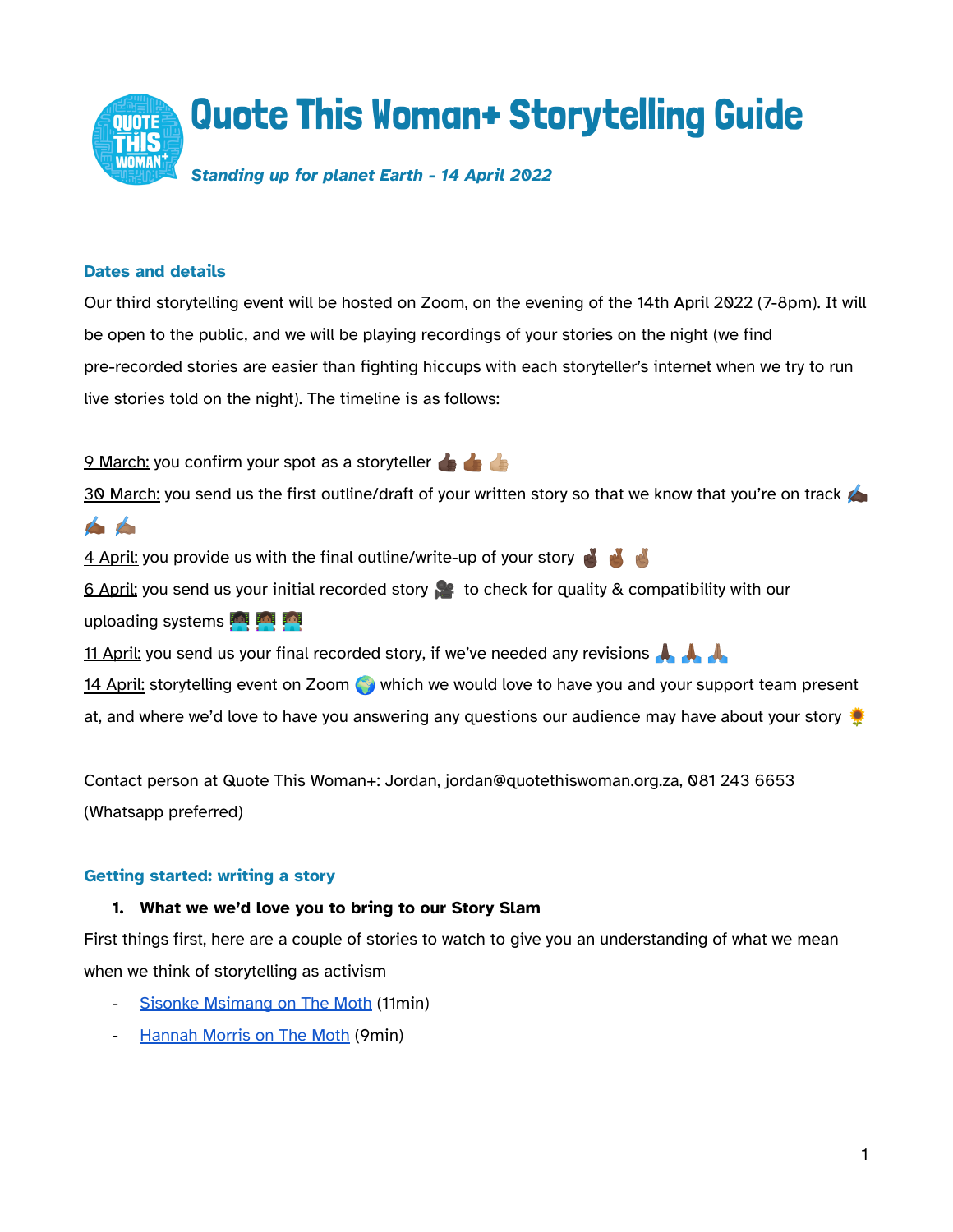

## **Dates and details**

Our third storytelling event will be hosted on Zoom, on the evening of the 14th April 2022 (7-8pm). It will be open to the public, and we will be playing recordings of your stories on the night (we find pre-recorded stories are easier than fighting hiccups with each storyteller's internet when we try to run live stories told on the night). The timeline is as follows:

9 March: you confirm your spot as a storyteller

30 March: you send us the first outline/draft of your written story so that we know that you're on track

the

4 April: you provide us with the final outline/write-up of your story

6 April: you send us your initial recorded story to check for quality & compatibility with our uploading systems **in Fig.** 

11 April: you send us your final recorded story, if we've needed any revisions

14 April: storytelling event on Zoom which we would love to have you and your support team present at, and where we'd love to have you answering any questions our audience may have about your story

Contact person at Quote This Woman+: Jordan, jordan@quotethiswoman.org.za, 081 243 6653 (Whatsapp preferred)

## **Getting started: writing a story**

## **1. What we we'd love you to bring to our Story Slam**

First things first, here are a couple of stories to watch to give you an understanding of what we mean when we think of storytelling as activism

- Sisonke [Msimang](https://www.youtube.com/watch?v=T5lE9Z-nRQg&list=PLRmR7jg2s4-TMlUpxHkq-wHs4t6WnqlsB&index=23) on The Moth (11min)
- [Hannah](https://player.themoth.org/#/?actionType=ADD_AND_PLAY&storyId=765) Morris on The Moth (9min)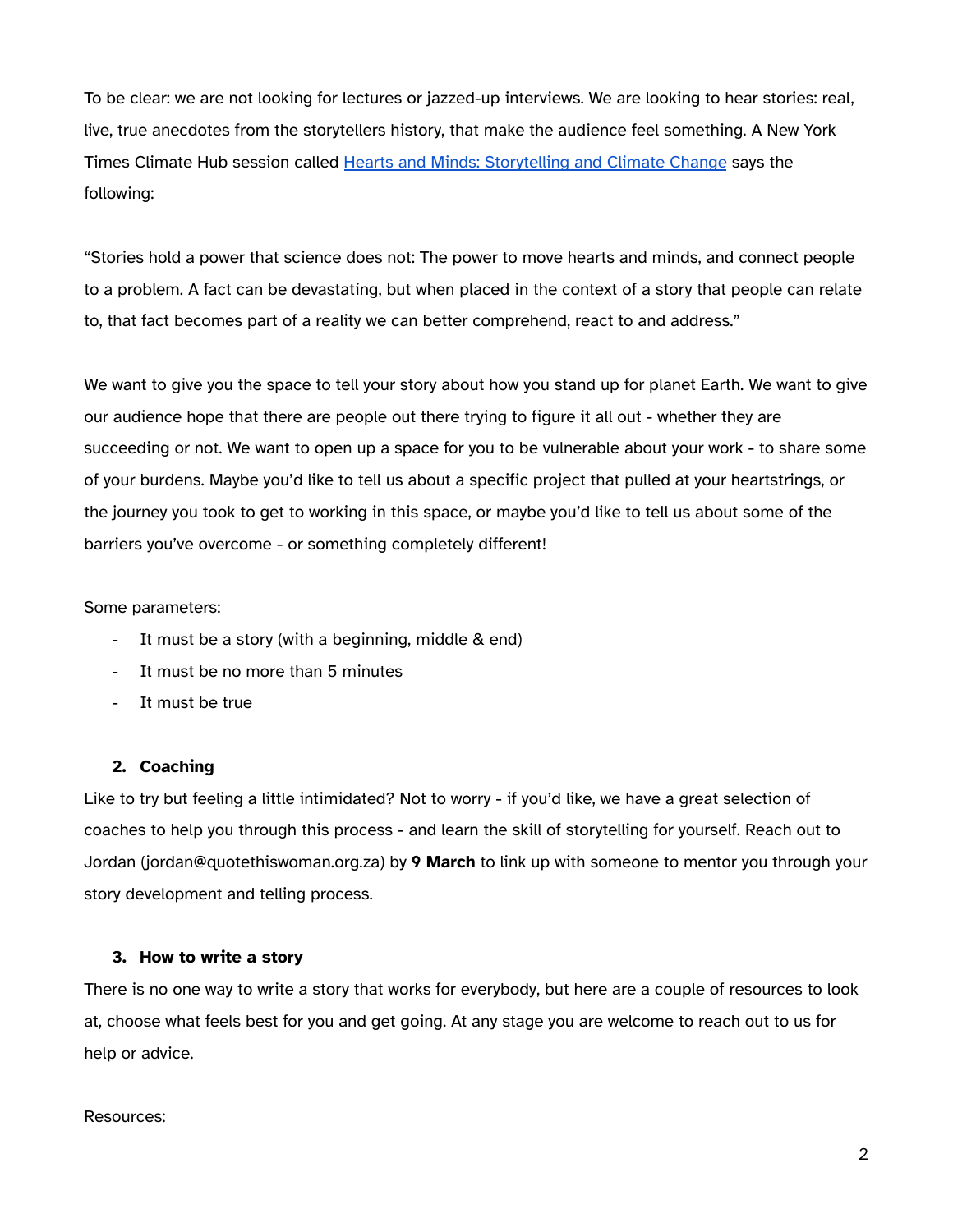To be clear: we are not looking for lectures or jazzed-up interviews. We are looking to hear stories: real, live, true anecdotes from the storytellers history, that make the audience feel something. A New York Times Climate Hub session called Hearts and Minds: [Storytelling](https://climatehub.nytimes.com/session/678908/hearts-and-minds-storytelling-and-climate-change) and Climate Change says the following:

"Stories hold a power that science does not: The power to move hearts and minds, and connect people to a problem. A fact can be devastating, but when placed in the context of a story that people can relate to, that fact becomes part of a reality we can better comprehend, react to and address."

We want to give you the space to tell your story about how you stand up for planet Earth. We want to give our audience hope that there are people out there trying to figure it all out - whether they are succeeding or not. We want to open up a space for you to be vulnerable about your work - to share some of your burdens. Maybe you'd like to tell us about a specific project that pulled at your heartstrings, or the journey you took to get to working in this space, or maybe you'd like to tell us about some of the barriers you've overcome - or something completely different!

Some parameters:

- It must be a story (with a beginning, middle & end)
- It must be no more than 5 minutes
- It must be true

### **2. Coaching**

Like to try but feeling a little intimidated? Not to worry - if you'd like, we have a great selection of coaches to help you through this process - and learn the skill of storytelling for yourself. Reach out to Jordan (jordan@quotethiswoman.org.za) by **9 March** to link up with someone to mentor you through your story development and telling process.

### **3. How to write a story**

There is no one way to write a story that works for everybody, but here are a couple of resources to look at, choose what feels best for you and get going. At any stage you are welcome to reach out to us for help or advice.

### Resources: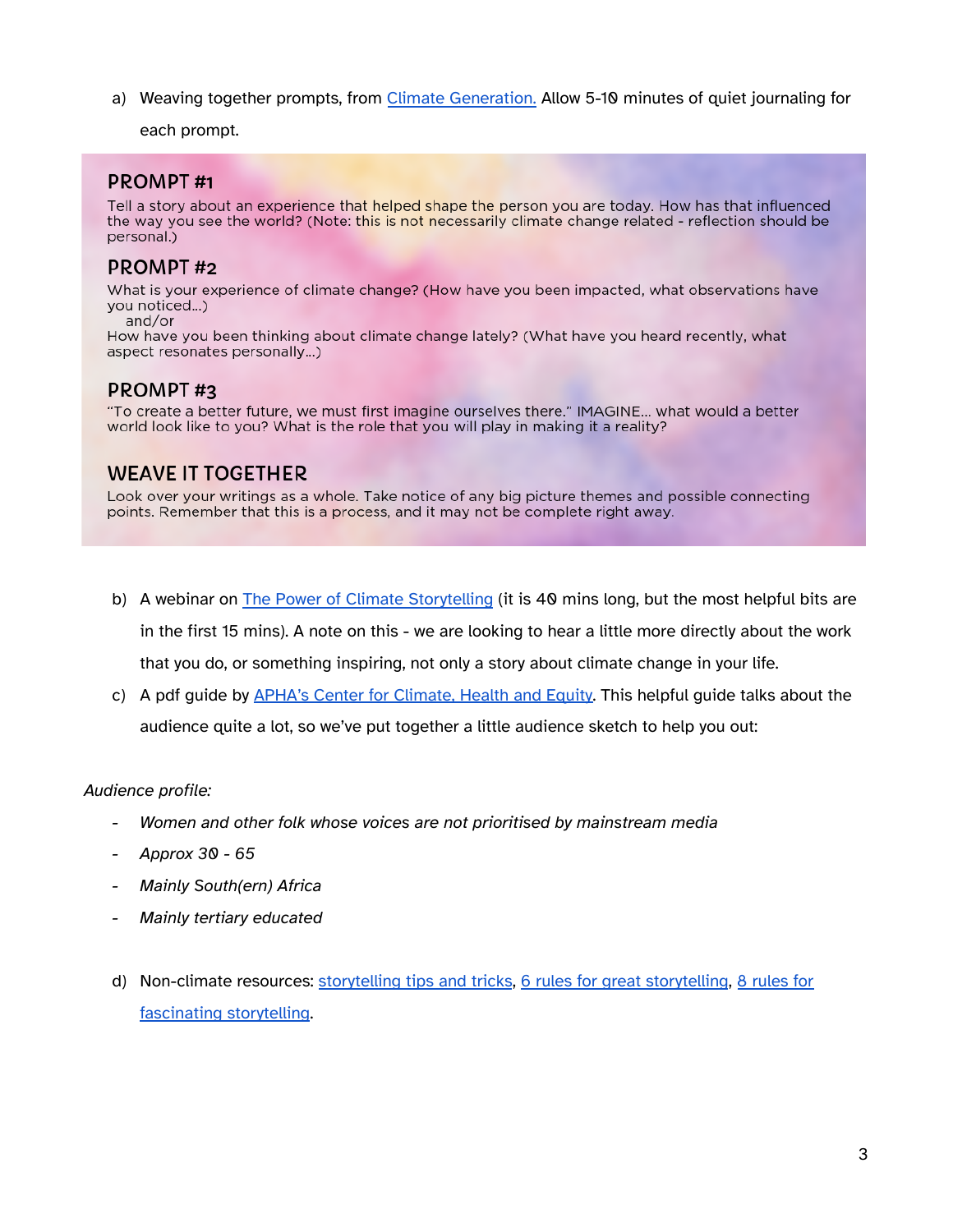a) Weaving together prompts, from Climate [Generation.](https://www.climategen.org/take-action/act-climate-change/climate-stories/discover-climate-story/) Allow 5-10 minutes of quiet journaling for

each prompt.

# **PROMPT#1**

Tell a story about an experience that helped shape the person you are today. How has that influenced the way you see the world? (Note: this is not necessarily climate change related - reflection should be personal.)

# **PROMPT#2**

What is your experience of climate change? (How have you been impacted, what observations have you noticed...)

and/or

How have you been thinking about climate change lately? (What have you heard recently, what aspect resonates personally...)

# **PROMPT#3**

"To create a better future, we must first imagine ourselves there." IMAGINE... what would a better world look like to you? What is the role that you will play in making it a reality?

# **WEAVE IT TOGETHER**

Look over your writings as a whole. Take notice of any big picture themes and possible connecting points. Remember that this is a process, and it may not be complete right away.

- b) A webinar on The Power of Climate [Storytelling](https://www.youtube.com/watch?v=CmYzry-rfTY) (it is 40 mins long, but the most helpful bits are in the first 15 mins). A note on this - we are looking to hear a little more directly about the work that you do, or something inspiring, not only a story about climate change in your life.
- c) A pdf guide by **APHA's Center for [Climate,](https://apha.org/-/media/files/pdf/topics/climate/climate_storytelling_guide.ashx) Health and Equity**. This helpful guide talks about the audience quite a lot, so we've put together a little audience sketch to help you out:

## *Audience profile:*

- *- Women and other folk whose voices are not prioritised by mainstream media*
- *- Approx 30 - 65*
- *- Mainly South(ern) Africa*
- *- Mainly tertiary educated*
- d) Non-climate resources: [storytelling](https://themoth.org/share-your-story/storytelling-tips-tricks) tips and tricks, 6 rules for great [storytelling](https://www.fastcompany.com/3052152/6-rules-for-great-storytelling-from-a-moth-approved-master-of-the-form), 8 [rules](https://jeff-simmermon.medium.com/this-is-a-boring-shark-attack-8-rules-for-fascinating-storytelling-3b9d2bab6dca) for [fascinating](https://jeff-simmermon.medium.com/this-is-a-boring-shark-attack-8-rules-for-fascinating-storytelling-3b9d2bab6dca) storytelling.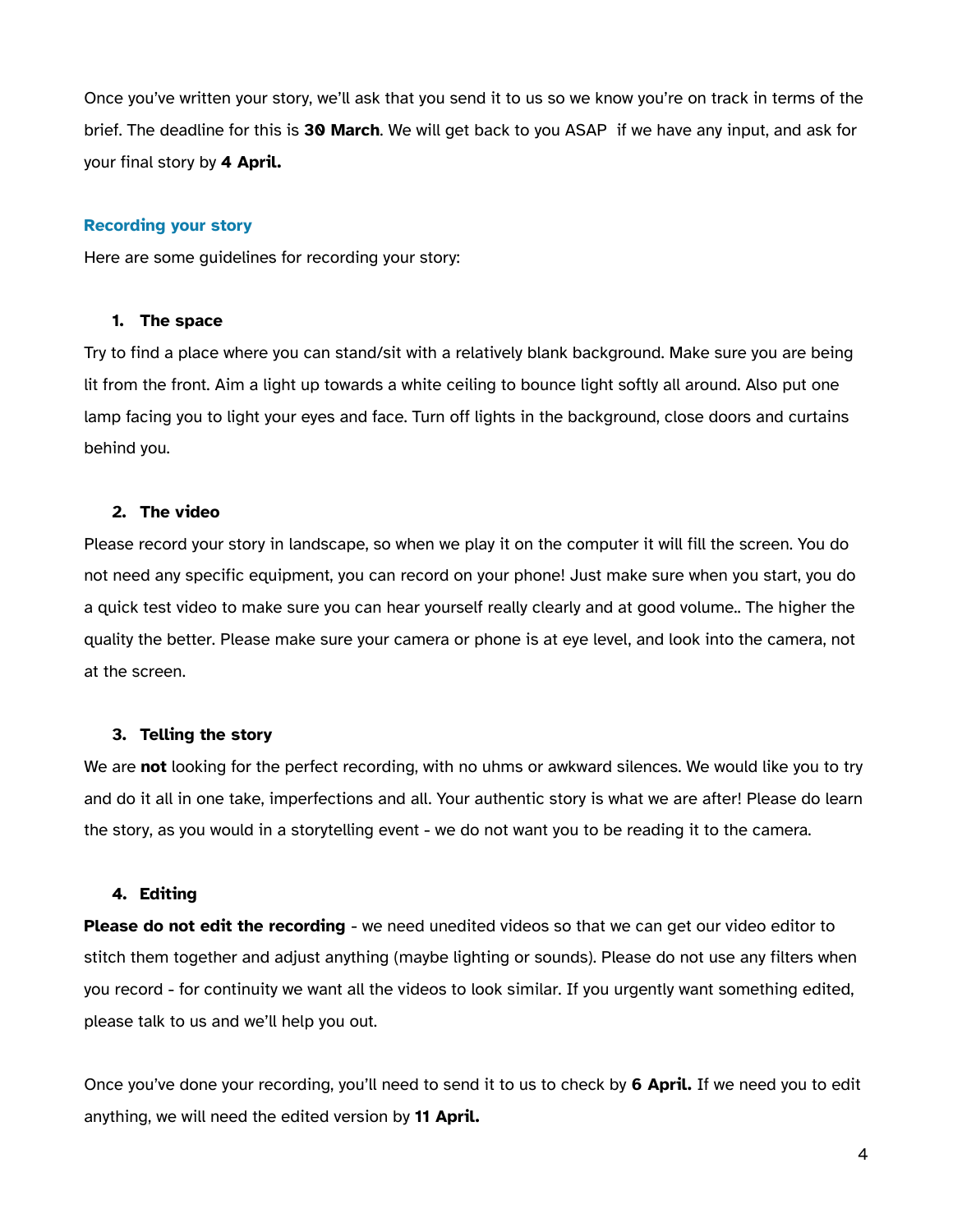Once you've written your story, we'll ask that you send it to us so we know you're on track in terms of the brief. The deadline for this is **30 March**. We will get back to you ASAP if we have any input, and ask for your final story by **4 April.**

### **Recording your story**

Here are some guidelines for recording your story:

### **1. The space**

Try to find a place where you can stand/sit with a relatively blank background. Make sure you are being lit from the front. Aim a light up towards a white ceiling to bounce light softly all around. Also put one lamp facing you to light your eyes and face. Turn off lights in the background, close doors and curtains behind you.

### **2. The video**

Please record your story in landscape, so when we play it on the computer it will fill the screen. You do not need any specific equipment, you can record on your phone! Just make sure when you start, you do a quick test video to make sure you can hear yourself really clearly and at good volume.. The higher the quality the better. Please make sure your camera or phone is at eye level, and look into the camera, not at the screen.

### **3. Telling the story**

We are **not** looking for the perfect recording, with no uhms or awkward silences. We would like you to try and do it all in one take, imperfections and all. Your authentic story is what we are after! Please do learn the story, as you would in a storytelling event - we do not want you to be reading it to the camera.

### **4. Editing**

**Please do not edit the recording** - we need unedited videos so that we can get our video editor to stitch them together and adjust anything (maybe lighting or sounds). Please do not use any filters when you record - for continuity we want all the videos to look similar. If you urgently want something edited, please talk to us and we'll help you out.

Once you've done your recording, you'll need to send it to us to check by **6 April.** If we need you to edit anything, we will need the edited version by **11 April.**